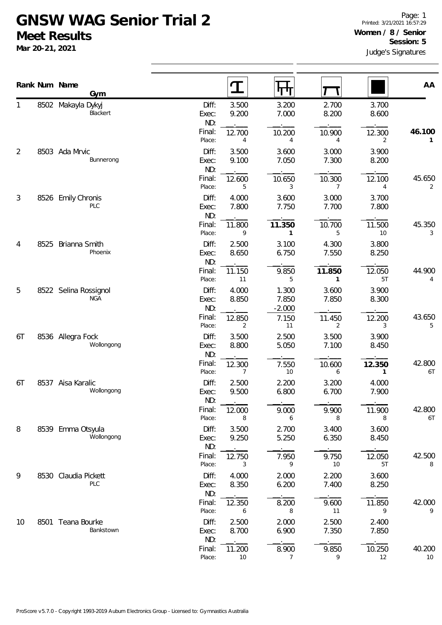## **GNSW WAG Senior Trial 2 Meet Results**

**Mar 20-21, 2021**

|    |      | Rank Num Name<br>Gym                |                       |                |                            |                        |                          |              |
|----|------|-------------------------------------|-----------------------|----------------|----------------------------|------------------------|--------------------------|--------------|
|    |      |                                     |                       | ${\bf T}$      | पा                         |                        |                          | AA           |
|    |      | 8502 Makayla Dykyj<br>Blackert      | Diff:<br>Exec:<br>ND: | 3.500<br>9.200 | 3.200<br>7.000             | 2.700<br>8.200         | 3.700<br>8.600           |              |
|    |      |                                     | Final:<br>Place:      | 12.700<br>4    | 10.200<br>4                | 10.900<br>4            | 12.300<br>$\overline{2}$ | 46.100<br>1  |
| 2  |      | 8503 Ada Mrvic<br>Bunnerong         | Diff:<br>Exec:<br>ND: | 3.500<br>9.100 | 3.600<br>7.050             | 3.000<br>7.300         | 3.900<br>8.200           |              |
|    |      |                                     | Final:<br>Place:      | 12.600<br>5    | 10.650<br>3                | 10.300<br>7            | 12.100<br>4              | 45.650<br>2  |
| 3  |      | 8526 Emily Chronis<br>PLC           | Diff:<br>Exec:<br>ND: | 4.000<br>7.800 | 3.600<br>7.750             | 3.000<br>7.700         | 3.700<br>7.800           |              |
|    |      |                                     | Final:<br>Place:      | 11.800<br>9    | 11.350<br>$\mathbf{1}$     | 10.700<br>5            | 11.500<br>10             | 45.350<br>3  |
| 4  | 8525 | Brianna Smith<br>Phoenix            | Diff:<br>Exec:<br>ND: | 2.500<br>8.650 | 3.100<br>6.750             | 4.300<br>7.550         | 3.800<br>8.250           |              |
|    |      |                                     | Final:<br>Place:      | 11.150<br>11   | 9.850<br>5                 | 11.850<br>$\mathbf{1}$ | 12.050<br>5T             | 44.900<br>4  |
| 5  |      | 8522 Selina Rossignol<br><b>NGA</b> | Diff:<br>Exec:<br>ND: | 4.000<br>8.850 | 1.300<br>7.850<br>$-2.000$ | 3.600<br>7.850         | 3.900<br>8.300           |              |
|    |      |                                     | Final:<br>Place:      | 12.850<br>2    | 7.150<br>11                | 11.450<br>2            | 12.200<br>3              | 43.650<br>5  |
| 6T |      | 8536 Allegra Fock<br>Wollongong     | Diff:<br>Exec:<br>ND: | 3.500<br>8.800 | 2.500<br>5.050             | 3.500<br>7.100         | 3.900<br>8.450           |              |
|    |      |                                     | Final:<br>Place:      | 12.300<br>7    | 7.550<br>10                | 10.600<br>6            | 12.350<br>$\mathbf{1}$   | 42.800<br>6T |
| 6T | 8537 | Aisa Karalic<br>Wollongong          | Diff:<br>Exec:<br>ND: | 2.500<br>9.500 | 2.200<br>6.800             | 3.200<br>6.700         | 4.000<br>7.900           |              |
|    |      |                                     | Final:<br>Place:      | 12.000<br>8    | 9.000<br>6                 | 9.900<br>8             | 11.900<br>8              | 42.800<br>6T |
| 8  |      | 8539 Emma Otsyula<br>Wollongong     | Diff:<br>Exec:<br>ND: | 3.500<br>9.250 | 2.700<br>5.250             | 3.400<br>6.350         | 3.600<br>8.450           |              |
|    |      |                                     | Final:<br>Place:      | 12.750<br>3    | 7.950<br>9                 | 9.750<br>10            | 12.050<br>5T             | 42.500<br>8  |
| 9  |      | 8530 Claudia Pickett<br><b>PLC</b>  | Diff:<br>Exec:<br>ND: | 4.000<br>8.350 | 2.000<br>6.200             | 2.200<br>7.400         | 3.600<br>8.250           |              |
|    |      |                                     | Final:<br>Place:      | 12.350<br>6    | 8.200<br>8                 | 9.600<br>11            | 11.850<br>9              | 42.000<br>9  |
| 10 |      | 8501 Teana Bourke<br>Bankstown      | Diff:<br>Exec:<br>ND: | 2.500<br>8.700 | 2.000<br>6.900             | 2.500<br>7.350         | 2.400<br>7.850           |              |
|    |      |                                     | Final:<br>Place:      | 11.200<br>10   | 8.900<br>7                 | 9.850<br>9             | 10.250<br>12             | 40.200<br>10 |